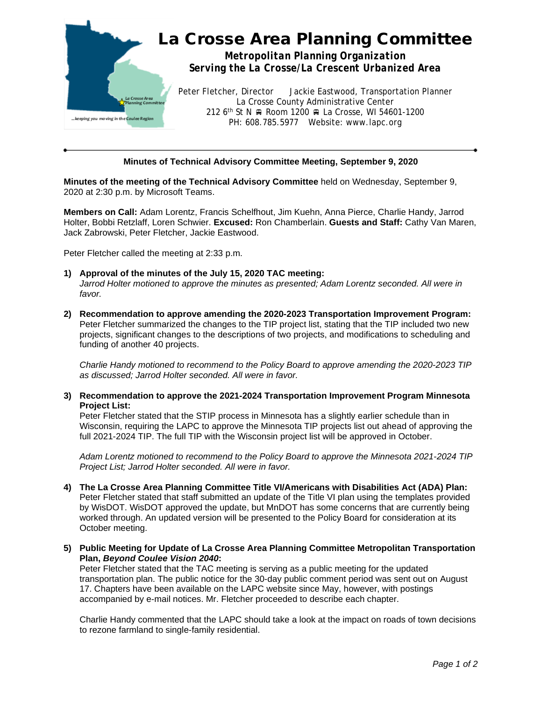

## **Minutes of Technical Advisory Committee Meeting, September 9, 2020**

**Minutes of the meeting of the Technical Advisory Committee** held on Wednesday, September 9, 2020 at 2:30 p.m. by Microsoft Teams.

**Members on Call:** Adam Lorentz, Francis Schelfhout, Jim Kuehn, Anna Pierce, Charlie Handy, Jarrod Holter, Bobbi Retzlaff, Loren Schwier. **Excused:** Ron Chamberlain. **Guests and Staff:** Cathy Van Maren, Jack Zabrowski, Peter Fletcher, Jackie Eastwood.

Peter Fletcher called the meeting at 2:33 p.m.

- **1) Approval of the minutes of the July 15, 2020 TAC meeting:** *Jarrod Holter motioned to approve the minutes as presented; Adam Lorentz seconded. All were in favor.*
- **2) Recommendation to approve amending the 2020-2023 Transportation Improvement Program:** Peter Fletcher summarized the changes to the TIP project list, stating that the TIP included two new projects, significant changes to the descriptions of two projects, and modifications to scheduling and funding of another 40 projects.

*Charlie Handy motioned to recommend to the Policy Board to approve amending the 2020-2023 TIP as discussed; Jarrod Holter seconded. All were in favor.*

**3) Recommendation to approve the 2021-2024 Transportation Improvement Program Minnesota Project List:**

Peter Fletcher stated that the STIP process in Minnesota has a slightly earlier schedule than in Wisconsin, requiring the LAPC to approve the Minnesota TIP projects list out ahead of approving the full 2021-2024 TIP. The full TIP with the Wisconsin project list will be approved in October.

*Adam Lorentz motioned to recommend to the Policy Board to approve the Minnesota 2021-2024 TIP Project List; Jarrod Holter seconded. All were in favor.*

- **4) The La Crosse Area Planning Committee Title VI/Americans with Disabilities Act (ADA) Plan:** Peter Fletcher stated that staff submitted an update of the Title VI plan using the templates provided by WisDOT. WisDOT approved the update, but MnDOT has some concerns that are currently being worked through. An updated version will be presented to the Policy Board for consideration at its October meeting.
- **5) Public Meeting for Update of La Crosse Area Planning Committee Metropolitan Transportation Plan,** *Beyond Coulee Vision 2040***:**

Peter Fletcher stated that the TAC meeting is serving as a public meeting for the updated transportation plan. The public notice for the 30-day public comment period was sent out on August 17. Chapters have been available on the LAPC website since May, however, with postings accompanied by e-mail notices. Mr. Fletcher proceeded to describe each chapter.

Charlie Handy commented that the LAPC should take a look at the impact on roads of town decisions to rezone farmland to single-family residential.